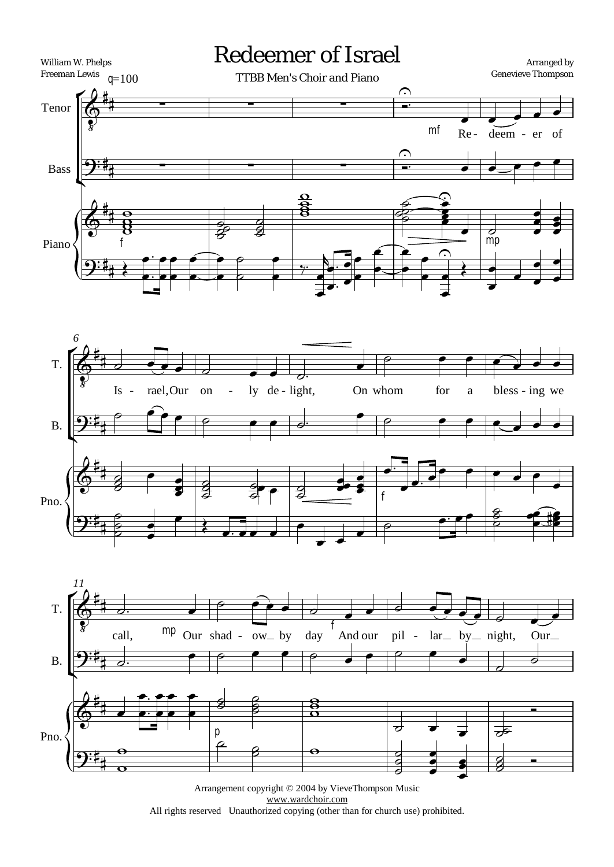



Arrangement copyright © 2004 by VieveThompson Music [www.wardchoir.com](http://www.wardchoir.com) All rights reserved Unauthorized copying (other than for church use) prohibited.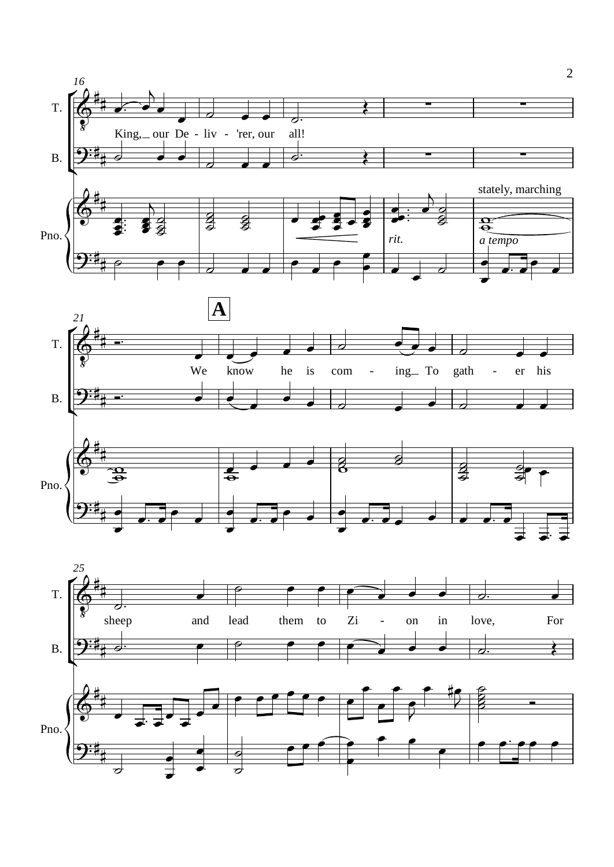



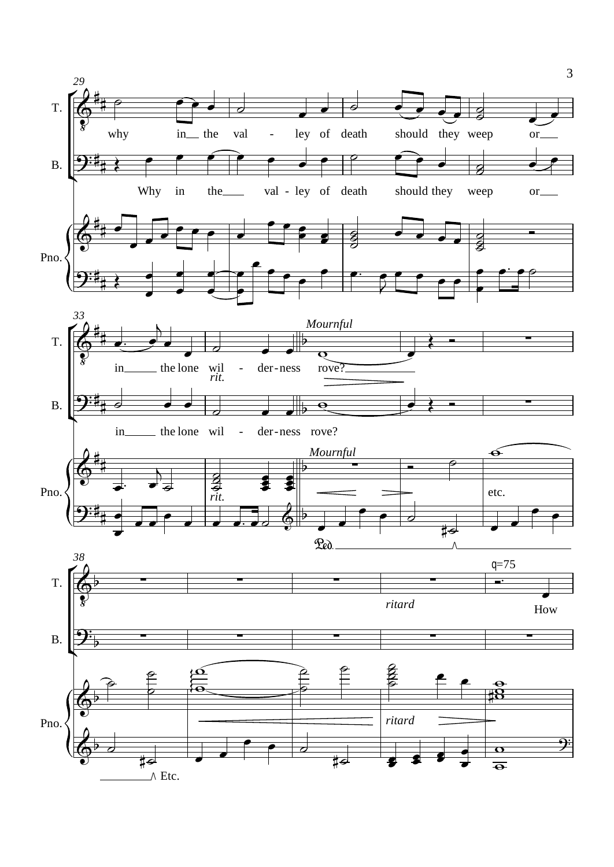

3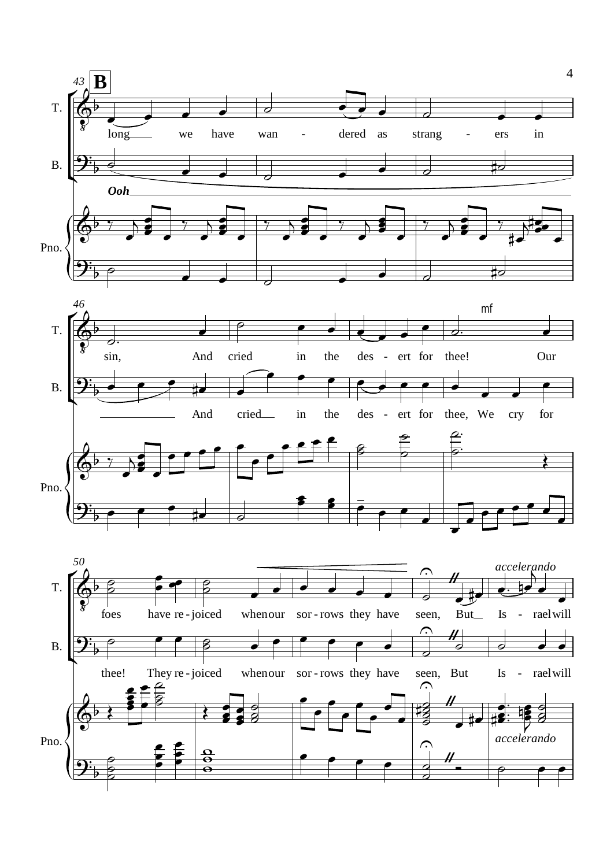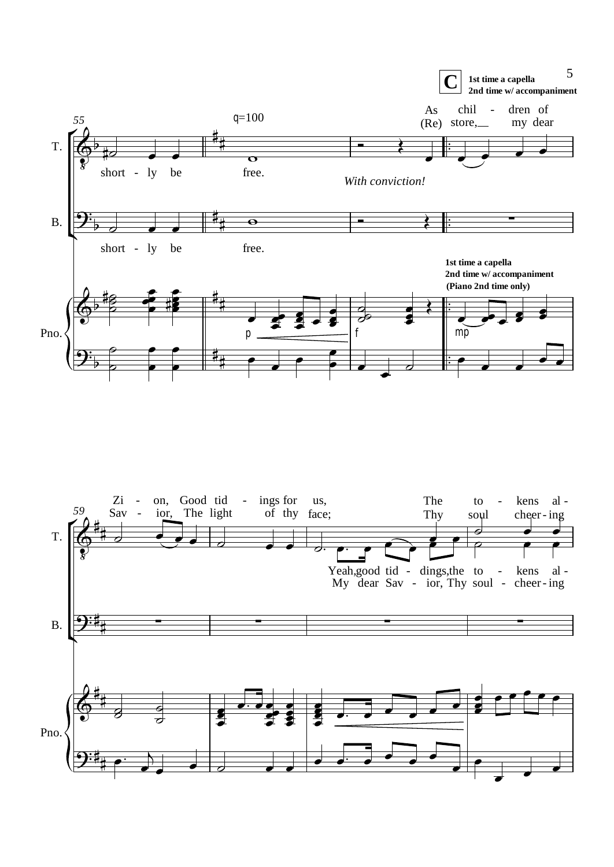

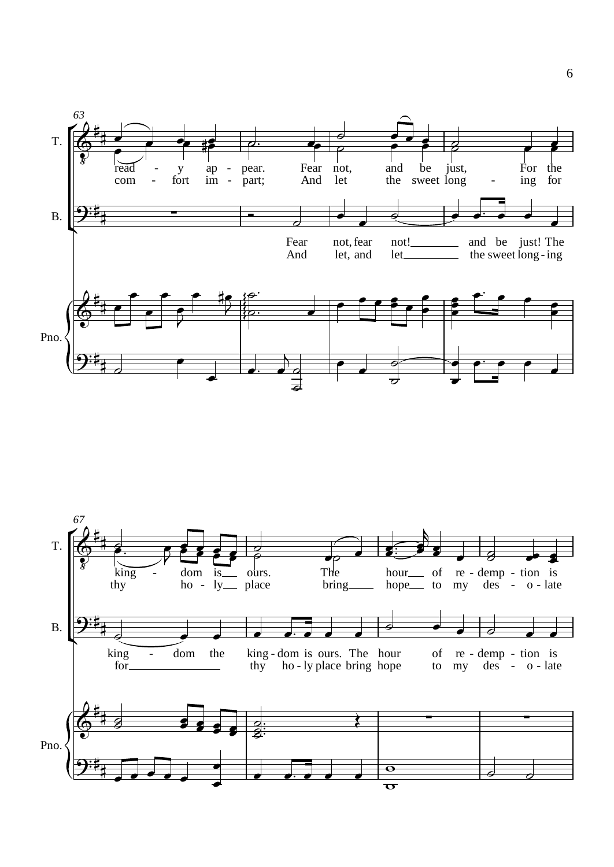

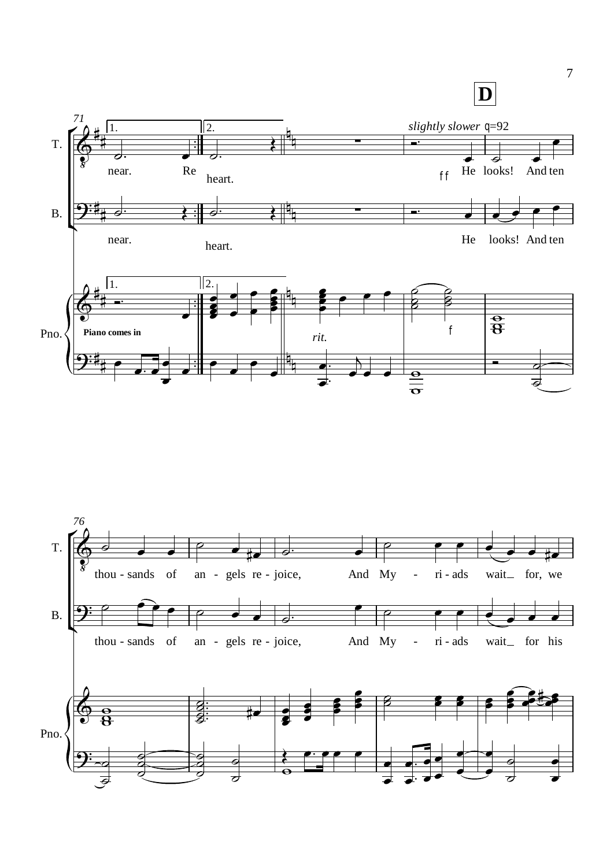

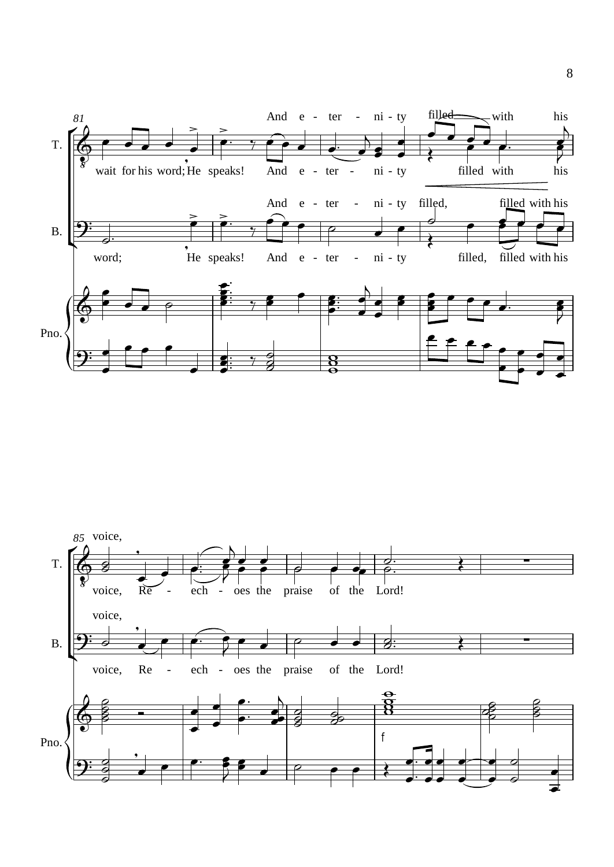